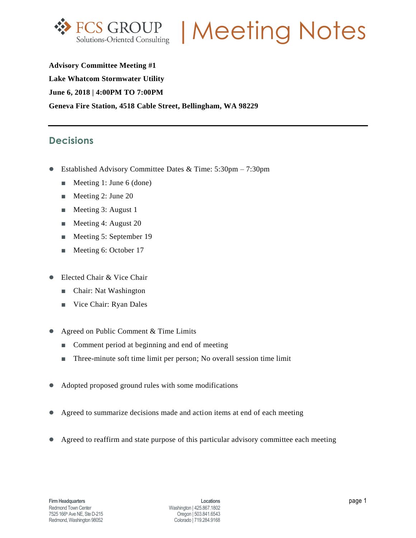

FCS GROUP | Meeting Notes

**Advisory Committee Meeting #1 Lake Whatcom Stormwater Utility June 6, 2018 | 4:00PM TO 7:00PM Geneva Fire Station, 4518 Cable Street, Bellingham, WA 98229**

### **Decisions**

- Established Advisory Committee Dates & Time: 5:30pm 7:30pm
	- Meeting 1: June 6 (done)
	- Meeting 2: June 20
	- Meeting 3: August 1
	- Meeting 4: August 20
	- Meeting 5: September 19
	- Meeting 6: October 17
- Elected Chair & Vice Chair
	- Chair: Nat Washington
	- Vice Chair: Ryan Dales
- Agreed on Public Comment & Time Limits
	- Comment period at beginning and end of meeting
	- Three-minute soft time limit per person; No overall session time limit
- Adopted proposed ground rules with some modifications
- Agreed to summarize decisions made and action items at end of each meeting
- Agreed to reaffirm and state purpose of this particular advisory committee each meeting